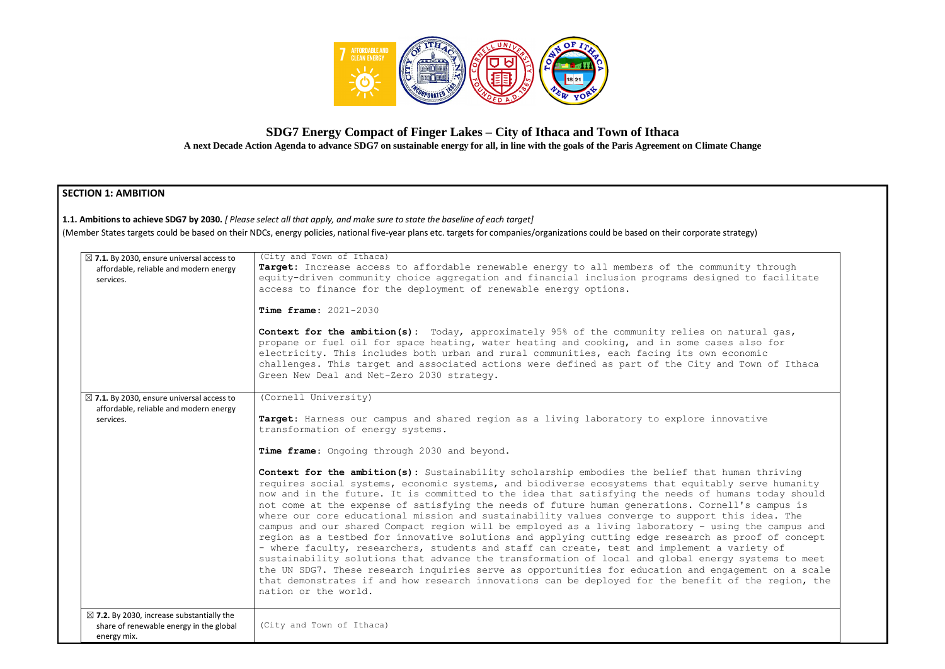

# **SDG7 Energy Compact of Finger Lakes – City of Ithaca and Town of Ithaca**

**A next Decade Action Agenda to advance SDG7 on sustainable energy for all, in line with the goals of the Paris Agreement on Climate Change**

## **SECTION 1: AMBITION**

**1.1. Ambitions to achieve SDG7 by 2030.** *[ Please select all that apply, and make sure to state the baseline of each target]*  (Member States targets could be based on their NDCs, energy policies, national five-year plans etc. targets for companies/organizations could be based on their corporate strategy)

| $\boxtimes$ 7.1. By 2030, ensure universal access to<br>affordable, reliable and modern energy<br>services.    | (City and Town of Ithaca)<br>Target: Increase access to affordable renewable energy to all members of the community thr<br>equity-driven community choice aggregation and financial inclusion programs designed to fa<br>access to finance for the deployment of renewable energy options.                                                                                                                                                                                                                                                                                                                                                                                                                                                                                                                                                                                                                                                                                                                                                                                                  |
|----------------------------------------------------------------------------------------------------------------|---------------------------------------------------------------------------------------------------------------------------------------------------------------------------------------------------------------------------------------------------------------------------------------------------------------------------------------------------------------------------------------------------------------------------------------------------------------------------------------------------------------------------------------------------------------------------------------------------------------------------------------------------------------------------------------------------------------------------------------------------------------------------------------------------------------------------------------------------------------------------------------------------------------------------------------------------------------------------------------------------------------------------------------------------------------------------------------------|
|                                                                                                                | Time frame: 2021-2030                                                                                                                                                                                                                                                                                                                                                                                                                                                                                                                                                                                                                                                                                                                                                                                                                                                                                                                                                                                                                                                                       |
|                                                                                                                | <b>Context for the ambition(s):</b> Today, approximately 95% of the community relies on natural<br>propane or fuel oil for space heating, water heating and cooking, and in some cases also f<br>electricity. This includes both urban and rural communities, each facing its own economic<br>challenges. This target and associated actions were defined as part of the City and Town o<br>Green New Deal and Net-Zero 2030 strategy.                                                                                                                                                                                                                                                                                                                                                                                                                                                                                                                                                                                                                                                      |
| $\boxtimes$ 7.1. By 2030, ensure universal access to                                                           | (Cornell University)                                                                                                                                                                                                                                                                                                                                                                                                                                                                                                                                                                                                                                                                                                                                                                                                                                                                                                                                                                                                                                                                        |
| affordable, reliable and modern energy<br>services.                                                            | Target: Harness our campus and shared region as a living laboratory to explore innovative<br>transformation of energy systems.                                                                                                                                                                                                                                                                                                                                                                                                                                                                                                                                                                                                                                                                                                                                                                                                                                                                                                                                                              |
|                                                                                                                | Time frame: Ongoing through 2030 and beyond.                                                                                                                                                                                                                                                                                                                                                                                                                                                                                                                                                                                                                                                                                                                                                                                                                                                                                                                                                                                                                                                |
|                                                                                                                | Context for the ambition(s): Sustainability scholarship embodies the belief that human thr<br>requires social systems, economic systems, and biodiverse ecosystems that equitably serve<br>now and in the future. It is committed to the idea that satisfying the needs of humans tod<br>not come at the expense of satisfying the needs of future human generations. Cornell's cam<br>where our core educational mission and sustainability values converge to support this idea<br>campus and our shared Compact region will be employed as a living laboratory - using the c<br>region as a testbed for innovative solutions and applying cutting edge research as proof o<br>- where faculty, researchers, students and staff can create, test and implement a variety<br>sustainability solutions that advance the transformation of local and global energy system<br>the UN SDG7. These research inquiries serve as opportunities for education and engagement<br>that demonstrates if and how research innovations can be deployed for the benefit of the r<br>nation or the world. |
| $\boxtimes$ 7.2. By 2030, increase substantially the<br>share of renewable energy in the global<br>energy mix. | (City and Town of Ithaca)                                                                                                                                                                                                                                                                                                                                                                                                                                                                                                                                                                                                                                                                                                                                                                                                                                                                                                                                                                                                                                                                   |

mmunity through igned to facilitate on natural gas, ases also for n economic and Town of Ithaca t human thriving ably serve humanity humans today should rnell's campus is t this idea. The using the campus and as proof of concept a variety of ergy systems to meet engagement on a scale it of the region, the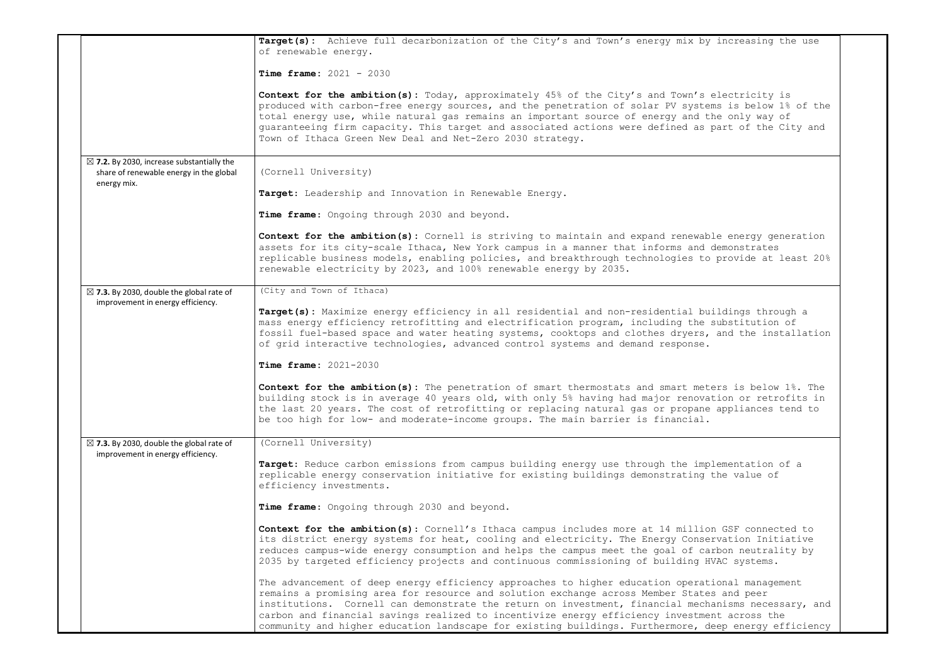|                                                                                                                | Target(s): Achieve full decarbonization of the City's and Town's energy mix by increasing the use<br>of renewable energy.                                                                                                                                                                                                                                                                                                                                                                                   |  |
|----------------------------------------------------------------------------------------------------------------|-------------------------------------------------------------------------------------------------------------------------------------------------------------------------------------------------------------------------------------------------------------------------------------------------------------------------------------------------------------------------------------------------------------------------------------------------------------------------------------------------------------|--|
|                                                                                                                | <b>Time frame:</b> $2021 - 2030$                                                                                                                                                                                                                                                                                                                                                                                                                                                                            |  |
|                                                                                                                | <b>Context for the ambition(s):</b> Today, approximately 45% of the City's and Town's electricity is<br>produced with carbon-free energy sources, and the penetration of solar PV systems is below 1% of the<br>total energy use, while natural gas remains an important source of energy and the only way of<br>guaranteeing firm capacity. This target and associated actions were defined as part of the City and<br>Town of Ithaca Green New Deal and Net-Zero 2030 strategy.                           |  |
| $\boxtimes$ 7.2. By 2030, increase substantially the<br>share of renewable energy in the global<br>energy mix. | (Cornell University)                                                                                                                                                                                                                                                                                                                                                                                                                                                                                        |  |
|                                                                                                                | Target: Leadership and Innovation in Renewable Energy.                                                                                                                                                                                                                                                                                                                                                                                                                                                      |  |
|                                                                                                                | Time frame: Ongoing through 2030 and beyond.                                                                                                                                                                                                                                                                                                                                                                                                                                                                |  |
|                                                                                                                | <b>Context for the ambition(s):</b> Cornell is striving to maintain and expand renewable energy generation<br>assets for its city-scale Ithaca, New York campus in a manner that informs and demonstrates<br>replicable business models, enabling policies, and breakthrough technologies to provide at least 20%<br>renewable electricity by 2023, and 100% renewable energy by 2035.                                                                                                                      |  |
| $\boxtimes$ 7.3. By 2030, double the global rate of                                                            | (City and Town of Ithaca)                                                                                                                                                                                                                                                                                                                                                                                                                                                                                   |  |
| improvement in energy efficiency.                                                                              | Target(s): Maximize energy efficiency in all residential and non-residential buildings through a<br>mass energy efficiency retrofitting and electrification program, including the substitution of<br>fossil fuel-based space and water heating systems, cooktops and clothes dryers, and the installation<br>of grid interactive technologies, advanced control systems and demand response.                                                                                                               |  |
|                                                                                                                | <b>Time frame:</b> $2021 - 2030$                                                                                                                                                                                                                                                                                                                                                                                                                                                                            |  |
|                                                                                                                | Context for the ambition(s): The penetration of smart thermostats and smart meters is below 1%. The<br>building stock is in average 40 years old, with only 5% having had major renovation or retrofits in<br>the last 20 years. The cost of retrofitting or replacing natural gas or propane appliances tend to<br>be too high for low- and moderate-income groups. The main barrier is financial.                                                                                                         |  |
| $\boxtimes$ 7.3. By 2030, double the global rate of<br>improvement in energy efficiency.                       | (Cornell University)                                                                                                                                                                                                                                                                                                                                                                                                                                                                                        |  |
|                                                                                                                | Target: Reduce carbon emissions from campus building energy use through the implementation of a<br>replicable energy conservation initiative for existing buildings demonstrating the value of<br>efficiency investments.                                                                                                                                                                                                                                                                                   |  |
|                                                                                                                | Time frame: Ongoing through 2030 and beyond.                                                                                                                                                                                                                                                                                                                                                                                                                                                                |  |
|                                                                                                                | <b>Context for the ambition(s):</b> Cornell's Ithaca campus includes more at 14 million GSF connected to<br>its district energy systems for heat, cooling and electricity. The Energy Conservation Initiative<br>reduces campus-wide energy consumption and helps the campus meet the goal of carbon neutrality by<br>2035 by targeted efficiency projects and continuous commissioning of building HVAC systems.                                                                                           |  |
|                                                                                                                | The advancement of deep energy efficiency approaches to higher education operational management<br>remains a promising area for resource and solution exchange across Member States and peer<br>institutions. Cornell can demonstrate the return on investment, financial mechanisms necessary, and<br>carbon and financial savings realized to incentivize energy efficiency investment across the<br>community and higher education landscape for existing buildings. Furthermore, deep energy efficiency |  |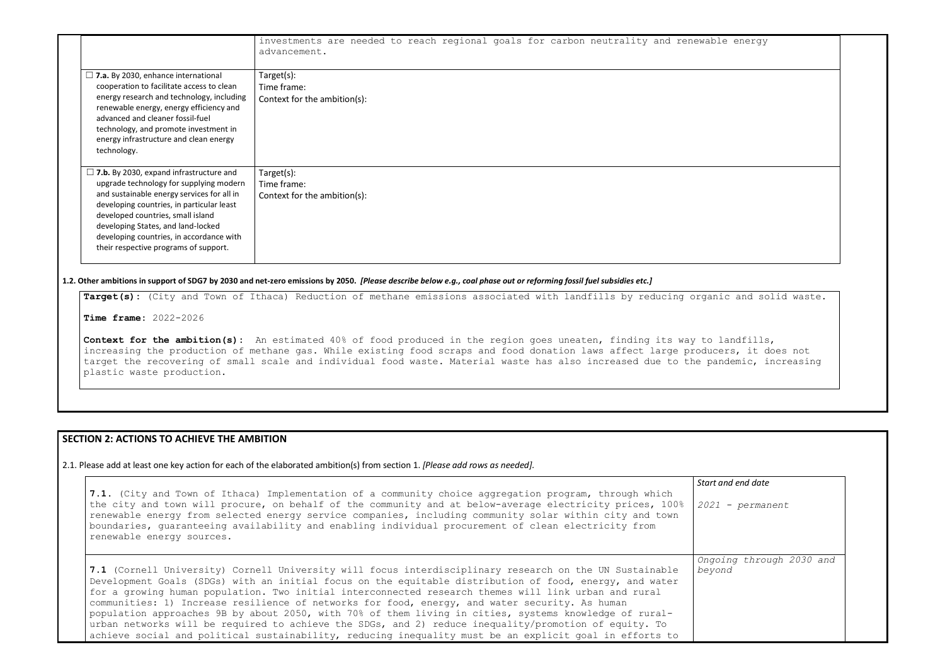|                                                                                                                                                                                                                                                                                                                                                      | investments are needed to reach regional goals for carbon neutrality and renewable energy<br>advancement. |
|------------------------------------------------------------------------------------------------------------------------------------------------------------------------------------------------------------------------------------------------------------------------------------------------------------------------------------------------------|-----------------------------------------------------------------------------------------------------------|
| $\Box$ 7.a. By 2030, enhance international<br>cooperation to facilitate access to clean<br>energy research and technology, including<br>renewable energy, energy efficiency and<br>advanced and cleaner fossil-fuel<br>technology, and promote investment in<br>energy infrastructure and clean energy<br>technology.                                | Target(s):<br>Time frame:<br>Context for the ambition(s):                                                 |
| $\Box$ 7.b. By 2030, expand infrastructure and<br>upgrade technology for supplying modern<br>and sustainable energy services for all in<br>developing countries, in particular least<br>developed countries, small island<br>developing States, and land-locked<br>developing countries, in accordance with<br>their respective programs of support. | Target(s):<br>Time frame:<br>Context for the ambition(s):                                                 |

Context for the ambition(s): An estimated 40% of food produced in the region goes uneaten, finding its way to increasing the production of methane gas. While existing food scraps and food donation laws affect large produc target the recovering of small scale and individual food waste. Material waste has also increased due to the pa plastic waste production.

**1.2. Other ambitions in support of SDG7 by 2030 and net-zero emissions by 2050.** *[Please describe below e.g., coal phase out or reforming fossil fuel subsidies etc.]*

Target(s): (City and Town of Ithaca) Reduction of methane emissions associated with landfills by reducing organ

**Time frame:** 2022-2026

## **SECTION 2: ACTIONS TO ACHIEVE THE AMBITION**

2.1. Please add at least one key action for each of the elaborated ambition(s) from section 1. *[Please add rows as needed].*

| 7.1. (City and Town of Ithaca) Implementation of a community choice aggregation program, through which<br>the city and town will procure, on behalf of the community and at below-average electricity prices, 100%<br>renewable energy from selected energy service companies, including community solar within city and town<br>boundaries, quaranteeing availability and enabling individual procurement of clean electricity from<br>renewable energy sources.                                                                                                                                                                                                                                                                                          | Start<br>202 |
|------------------------------------------------------------------------------------------------------------------------------------------------------------------------------------------------------------------------------------------------------------------------------------------------------------------------------------------------------------------------------------------------------------------------------------------------------------------------------------------------------------------------------------------------------------------------------------------------------------------------------------------------------------------------------------------------------------------------------------------------------------|--------------|
| 7.1 (Cornell University) Cornell University will focus interdisciplinary research on the UN Sustainable<br>Development Goals (SDGs) with an initial focus on the equitable distribution of food, energy, and water<br>for a growing human population. Two initial interconnected research themes will link urban and rural<br>communities: 1) Increase resilience of networks for food, energy, and water security. As human<br>population approaches 9B by about 2050, with 70% of them living in cities, systems knowledge of rural-<br>urban networks will be required to achieve the SDGs, and 2) reduce inequality/promotion of equity. To<br>achieve social and political sustainability, reducing inequality must be an explicit goal in efforts to | Ong<br>bey   |

| ble energy                                             |  |
|--------------------------------------------------------|--|
|                                                        |  |
|                                                        |  |
|                                                        |  |
|                                                        |  |
|                                                        |  |
|                                                        |  |
|                                                        |  |
| nic and solid waste.                                   |  |
| landfills,<br>cers, it does not<br>andemic, increasing |  |
|                                                        |  |
|                                                        |  |
|                                                        |  |

*Start and end date 2021 - permanent Ongoing through 2030 and beyond*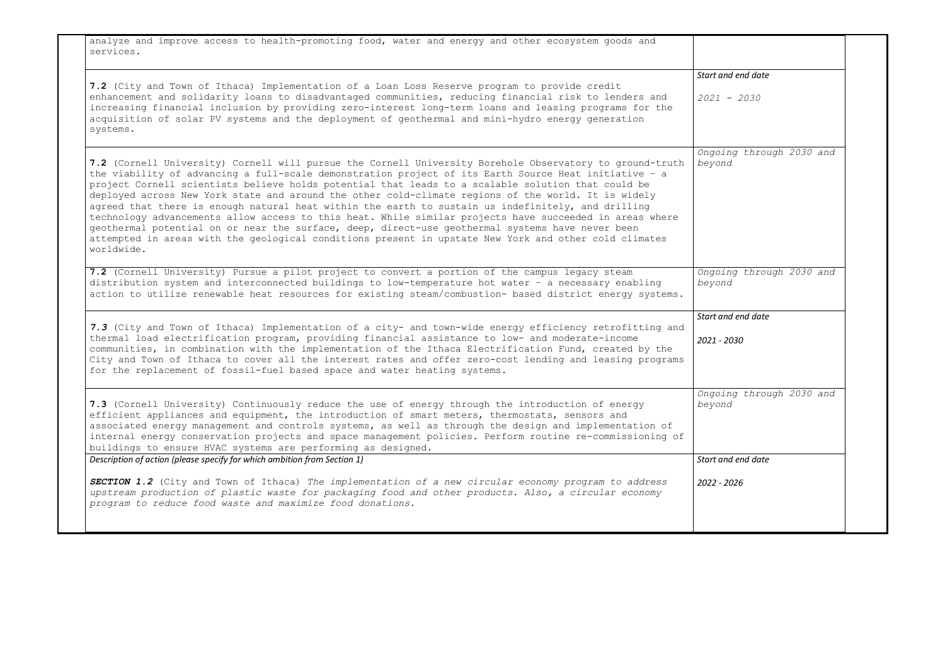analyze and improve access to health-promoting food, water and energy and other ecosystem goods and services.

**7.2** (City and Town of Ithaca) Implementation of a Loan Loss Reserve program to provide credit enhancement and solidarity loans to disadvantaged communities, reducing financial risk to lenders and increasing financial inclusion by providing zero-interest long-term loans and leasing programs for the acquisition of solar PV systems and the deployment of geothermal and mini-hydro energy generation systems. *2021 - 2030*

**7.2** (Cornell University) Pursue a pilot project to convert a portion of the campus legacy steam distribution system and interconnected buildings to low-temperature hot water – a necessary enabling action to utilize renewable heat resources for existing steam/combustion- based district energy systems. *Ongoing through 2030 and*   $beve$ 

**7.2** (Cornell University) Cornell will pursue the [Cornell University Borehole Observatory](https://news.cornell.edu/stories/2021/01/borehole-reveal-potential-geothermal-heating) to ground-truth *beyond* the viability of advancing a full-scale demonstration project of its Earth Source Heat initiative – a project Cornell scientists believe holds potential that leads to a scalable solution that could be deployed across New York state and around the other cold-climate regions of the world. It is widely agreed that there is enough natural heat within the earth to sustain us indefinitely, and drilling technology advancements allow access to this heat. While similar projects have succeeded in areas where geothermal potential on or near the surface, deep, direct-use geothermal systems have never been attempted in areas with the geological conditions present in upstate New York and other cold climates worldwide.

**7.3** (Cornell University) Continuously reduce the use of energy through the introduction of energy efficient appliances and equipment, the introduction of smart meters, thermostats, sensors and associated energy management and controls systems, as well as through the design and implementation of internal energy conservation projects and space management policies. Perform routine re-commissioning of buildings to ensure HVAC systems are performing as designed.  $be$ *y Description of action (please specify for which ambition from Section 1) <u>Start</u>* 

| Start and end date                 |  |
|------------------------------------|--|
| $2021 - 2030$                      |  |
| Ongoing through 2030 and<br>beyond |  |
| Ongoing through 2030 and<br>beyond |  |
| Start and end date                 |  |
| 2021 - 2030                        |  |
| Ongoing through 2030 and<br>beyond |  |
| Start and end date                 |  |
| 2022 - 2026                        |  |
|                                    |  |

*7.3* (City and Town of Ithaca) Implementation of a city- and town-wide energy efficiency retrofitting and thermal load electrification program, providing financial assistance to low- and moderate-income communities, in combination with the implementation of the Ithaca Electrification Fund, created by the City and Town of Ithaca to cover all the interest rates and offer zero-cost lending and leasing programs for the replacement of fossil-fuel based space and water heating systems. *2021 - 2030*

*SECTION 1.2* (City and Town of Ithaca) *The implementation of a new circular economy program to address upstream production of plastic waste for packaging food and other products. Also, a circular economy program to reduce food waste and maximize food donations. 2022 - 2026*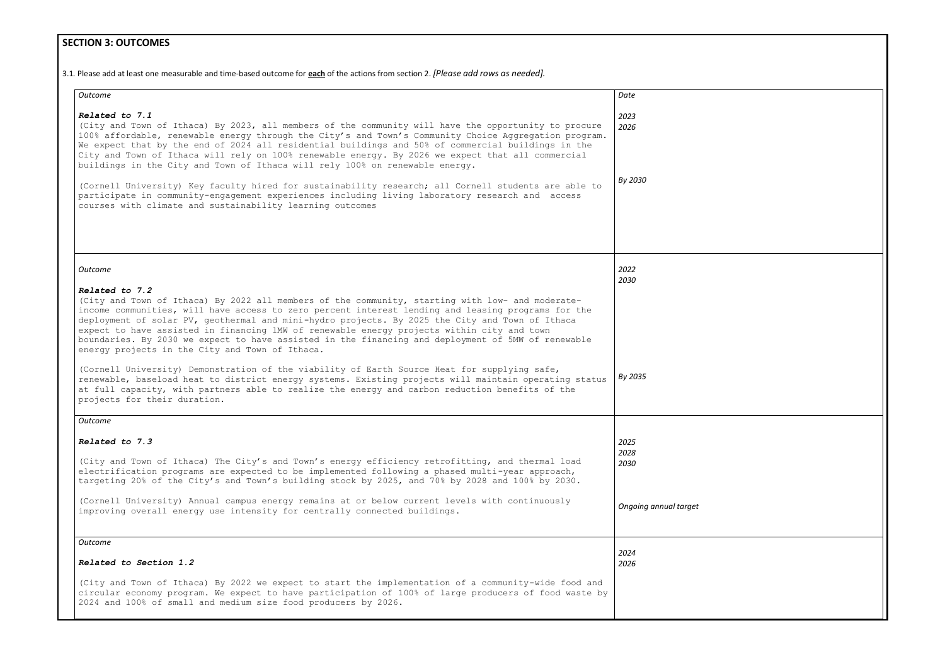# **SECTION 3: OUTCOMES**

3.1*.* Please add at least one measurable and time-based outcome for **each** of the actions from section 2. *[Please add rows as needed].*

| Outcome                                                                                                                                                                                                                                                                                                                                                                                                                                                                                                                                                                                                                                                                                                                                                                                                                                                                                                                        | Date                  |
|--------------------------------------------------------------------------------------------------------------------------------------------------------------------------------------------------------------------------------------------------------------------------------------------------------------------------------------------------------------------------------------------------------------------------------------------------------------------------------------------------------------------------------------------------------------------------------------------------------------------------------------------------------------------------------------------------------------------------------------------------------------------------------------------------------------------------------------------------------------------------------------------------------------------------------|-----------------------|
| Related to 7.1<br>(City and Town of Ithaca) By 2023, all members of the community will have the opportunity to procure<br>100% affordable, renewable energy through the City's and Town's Community Choice Aggregation program.<br>We expect that by the end of 2024 all residential buildings and 50% of commercial buildings in the<br>City and Town of Ithaca will rely on 100% renewable energy. By 2026 we expect that all commercial<br>buildings in the City and Town of Ithaca will rely 100% on renewable energy.                                                                                                                                                                                                                                                                                                                                                                                                     | 2023<br>2026          |
| (Cornell University) Key faculty hired for sustainability research; all Cornell students are able to<br>participate in community-engagement experiences including living laboratory research and access<br>courses with climate and sustainability learning outcomes                                                                                                                                                                                                                                                                                                                                                                                                                                                                                                                                                                                                                                                           | By 2030               |
| Outcome                                                                                                                                                                                                                                                                                                                                                                                                                                                                                                                                                                                                                                                                                                                                                                                                                                                                                                                        | 2022<br>2030          |
| Related to 7.2<br>(City and Town of Ithaca) By 2022 all members of the community, starting with low- and moderate-<br>income communities, will have access to zero percent interest lending and leasing programs for the<br>deployment of solar PV, geothermal and mini-hydro projects. By 2025 the City and Town of Ithaca<br>expect to have assisted in financing 1MW of renewable energy projects within city and town<br>boundaries. By 2030 we expect to have assisted in the financing and deployment of 5MW of renewable<br>energy projects in the City and Town of Ithaca.<br>(Cornell University) Demonstration of the viability of Earth Source Heat for supplying safe,<br>renewable, baseload heat to district energy systems. Existing projects will maintain operating status<br>at full capacity, with partners able to realize the energy and carbon reduction benefits of the<br>projects for their duration. | By 2035               |
| Outcome                                                                                                                                                                                                                                                                                                                                                                                                                                                                                                                                                                                                                                                                                                                                                                                                                                                                                                                        |                       |
| <b>Related to 7.3</b><br>(City and Town of Ithaca) The City's and Town's energy efficiency retrofitting, and thermal load<br>electrification programs are expected to be implemented following a phased multi-year approach,<br>targeting 20% of the City's and Town's building stock by 2025, and 70% by 2028 and 100% by 2030.                                                                                                                                                                                                                                                                                                                                                                                                                                                                                                                                                                                               | 2025<br>2028<br>2030  |
| (Cornell University) Annual campus energy remains at or below current levels with continuously<br>improving overall energy use intensity for centrally connected buildings.                                                                                                                                                                                                                                                                                                                                                                                                                                                                                                                                                                                                                                                                                                                                                    | Ongoing annual target |
| Outcome                                                                                                                                                                                                                                                                                                                                                                                                                                                                                                                                                                                                                                                                                                                                                                                                                                                                                                                        |                       |
| Related to Section 1.2                                                                                                                                                                                                                                                                                                                                                                                                                                                                                                                                                                                                                                                                                                                                                                                                                                                                                                         | 2024<br>2026          |
| (City and Town of Ithaca) By 2022 we expect to start the implementation of a community-wide food and<br>circular economy program. We expect to have participation of 100% of large producers of food waste by<br>2024 and 100% of small and medium size food producers by 2026.                                                                                                                                                                                                                                                                                                                                                                                                                                                                                                                                                                                                                                                |                       |

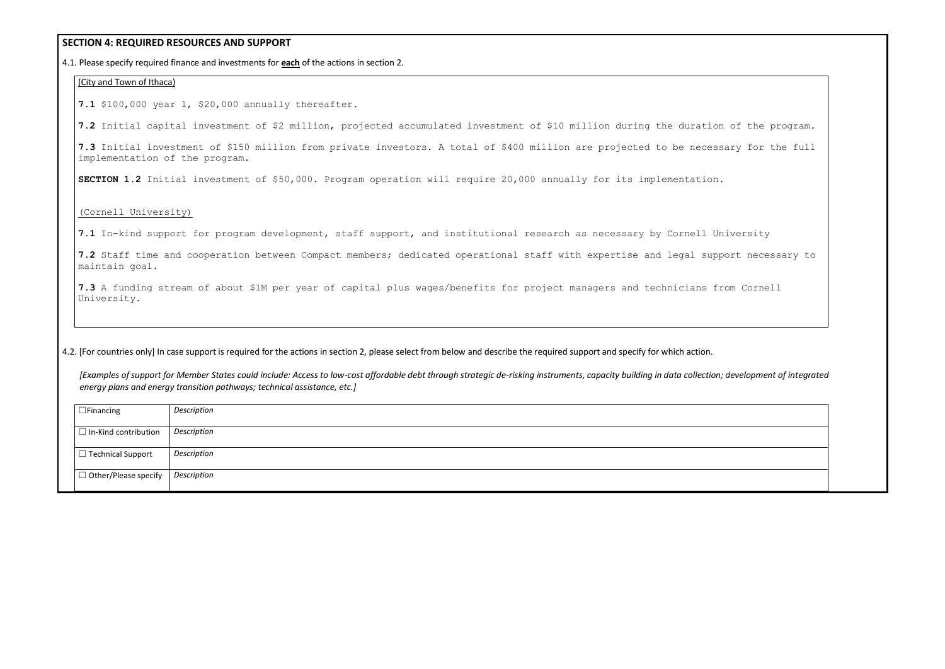## **SECTION 4: REQUIRED RESOURCES AND SUPPORT**

4.1. Please specify required finance and investments for **each** of the actions in section 2.

### (City and Town of Ithaca)

**7.1** \$100,000 year 1, \$20,000 annually thereafter.

**7.2** Initial capital investment of \$2 million, projected accumulated investment of \$10 million during the duration of the program.

**7.3** Initial investment of \$150 million from private investors. A total of \$400 million are projected to be necessary for the full implementation of the program.

**SECTION 1.2** Initial investment of \$50,000. Program operation will require 20,000 annually for its implementation.

### (Cornell University)

**7.1** In-kind support for program development, staff support, and institutional research as necessary by Cornell University

**7.2** Staff time and cooperation between Compact members; dedicated operational staff with expertise and legal support necessary to maintain goal.

**7.3** A funding stream of about \$1M per year of capital plus wages/benefits for project managers and technicians from Cornell University.

4.2. [For countries only] In case support is required for the actions in section 2, please select from below and describe the required support and specify for which action.

*[Examples of support for Member States could include: Access to low-cost affordable debt through strategic de-risking instruments, capacity building in data collection; development of integrated energy plans and energy transition pathways; technical assistance, etc.]*

| $\Box$ Financing            | Description |
|-----------------------------|-------------|
| $\Box$ In-Kind contribution | Description |
| $\Box$ Technical Support    | Description |
| $\Box$ Other/Please specify | Description |

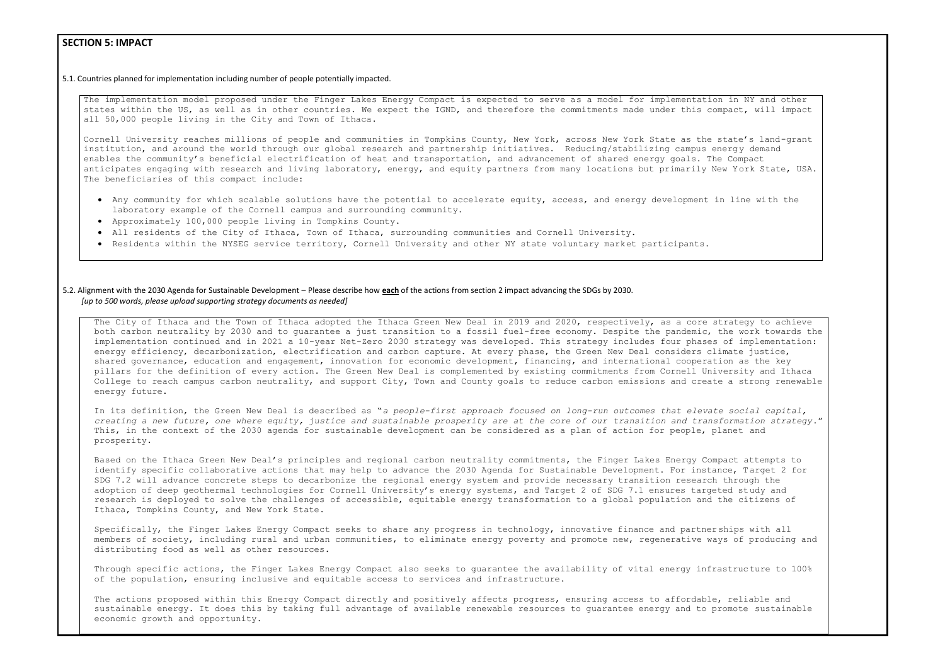## **SECTION 5: IMPACT**

5.1. Countries planned for implementation including number of people potentially impacted.

Cornell University reaches millions of people and communities in Tompkins County, New York, across New York State as the state's land-grant institution, and around the world through our global research and partnership initiatives. Reducing/stabilizing campus energy demand enables the community's beneficial electrification of heat and transportation, and advancement of shared energy goals. The Compact anticipates engaging with research and living laboratory, energy, and equity partners from many locations but primarily New York State, USA. The beneficiaries of this compact include:

The implementation model proposed under the Finger Lakes Energy Compact is expected to serve as a model for implementation in NY and other states within the US, as well as in other countries. We expect the IGND, and therefore the commitments made under this compact, will impact all 50,000 people living in the City and Town of Ithaca.

- Any community for which scalable solutions have the potential to accelerate equity, access, and energy development in line with the laboratory example of the Cornell campus and surrounding community.
- Approximately 100,000 people living in Tompkins County.
- All residents of the City of Ithaca, Town of Ithaca, surrounding communities and Cornell University.
- Residents within the NYSEG service territory, Cornell University and other NY state voluntary market participants.

The City of Ithaca and the Town of Ithaca adopted the Ithaca Green New Deal in 2019 and 2020, respectively, as a core strategy to achieve both carbon neutrality by 2030 and to guarantee a just transition to a fossil fuel-free economy. Despite the pandemic, the work towards the implementation continued and in 2021 a 10-year Net-Zero 2030 strategy was developed. This strategy includes four phases of implementation: energy efficiency, decarbonization, electrification and carbon capture. At every phase, the Green New Deal considers climate justice, shared governance, education and engagement, innovation for economic development, financing, and international cooperation as the key pillars for the definition of every action. The Green New Deal is complemented by existing commitments from Cornell University and Ithaca College to reach campus carbon neutrality, and support City, Town and County goals to reduce carbon emissions and create a strong renewable energy future.

### 5.2. Alignment with the 2030 Agenda for Sustainable Development – Please describe how **each** of the actions from section 2 impact advancing the SDGs by 2030. *[up to 500 words, please upload supporting strategy documents as needed]*

Through specific actions, the Finger Lakes Energy Compact also seeks to quarantee the availability of vital energy infrastructure to 100% of the population, ensuring inclusive and equitable access to services and infrastructure.

The actions proposed within this Energy Compact directly and positively affects progress, ensuring access to affordable, reliable and sustainable energy. It does this by taking full advantage of available renewable resources to guarantee energy and to promote sustainable economic growth and opportunity.

In its definition, the Green New Deal is described as "*a people-first approach focused on long-run outcomes that elevate social capital, creating a new future, one where equity, justice and sustainable prosperity are at the core of our transition and transformation strategy*." This, in the context of the 2030 agenda for sustainable development can be considered as a plan of action for people, planet and prosperity.

Based on the Ithaca Green New Deal's principles and regional carbon neutrality commitments, the Finger Lakes Energy Compact attempts to identify specific collaborative actions that may help to advance the 2030 Agenda for Sustainable Development. For instance, Target 2 for SDG 7.2 will advance concrete steps to decarbonize the regional energy system and provide necessary transition research through the adoption of deep geothermal technologies for Cornell University's energy systems, and Target 2 of SDG 7.1 ensures targeted study and research is deployed to solve the challenges of accessible, equitable energy transformation to a global population and the citizens of Ithaca, Tompkins County, and New York State.

Specifically, the Finger Lakes Energy Compact seeks to share any progress in technology, innovative finance and partnerships with all members of society, including rural and urban communities, to eliminate energy poverty and promote new, regenerative ways of producing and distributing food as well as other resources.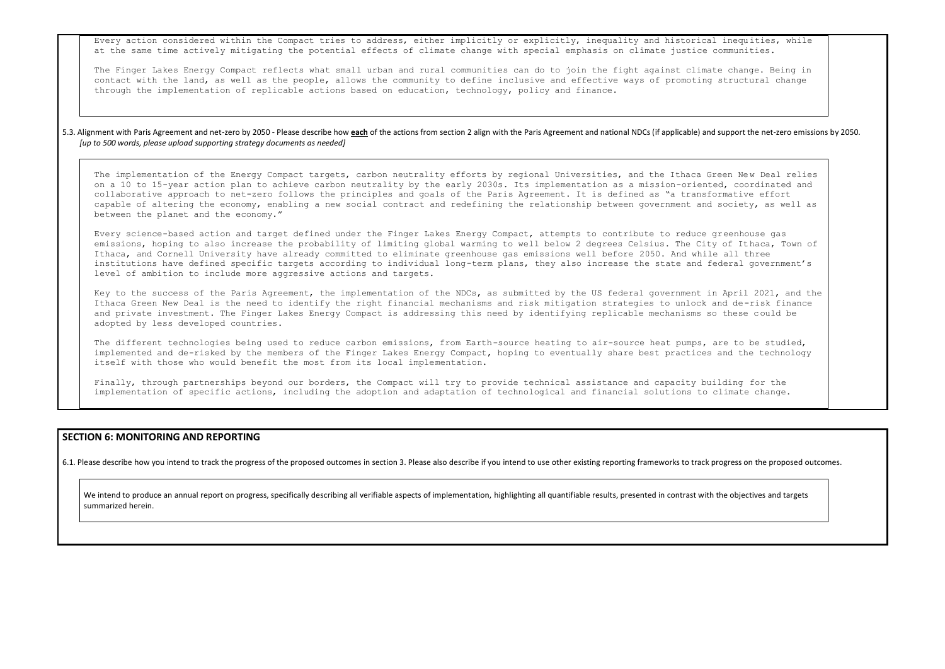Every action considered within the Compact tries to address, either implicitly or explicitly, inequality and historical inequities, while at the same time actively mitigating the potential effects of climate change with special emphasis on climate justice communities.

The Finger Lakes Energy Compact reflects what small urban and rural communities can do to join the fight against climate change. Being in contact with the land, as well as the people, allows the community to define inclusive and effective ways of promoting structural change through the implementation of replicable actions based on education, technology, policy and finance.

### 5.3. Alignment with Paris Agreement and net-zero by 2050 - Please describe how each of the actions from section 2 align with the Paris Agreement and national NDCs (if applicable) and support the net-zero emissions by 2050. *[up to 500 words, please upload supporting strategy documents as needed]*

The implementation of the Energy Compact targets, carbon neutrality efforts by regional Universities, and the Ithaca Green New Deal relies on a 10 to 15-year action plan to achieve carbon neutrality by the early 2030s. Its implementation as a mission-oriented, coordinated and collaborative approach to net-zero follows the principles and goals of the Paris Agreement. It is defined as "a transformative effort capable of altering the economy, enabling a new social contract and redefining the relationship between government and society, as well as between the planet and the economy."

The different technologies being used to reduce carbon emissions, from Earth-source heating to air-source heat pumps, are to be studied, implemented and de-risked by the members of the Finger Lakes Energy Compact, hoping to eventually share best practices and the technology itself with those who would benefit the most from its local implementation.

Every science-based action and target defined under the Finger Lakes Energy Compact, attempts to contribute to reduce greenhouse gas emissions, hoping to also increase the probability of limiting global warming to well below 2 degrees Celsius. The City of Ithaca, Town of Ithaca, and Cornell University have already committed to eliminate greenhouse gas emissions well before 2050. And while all three institutions have defined specific targets according to individual long-term plans, they also increase the state and federal government's level of ambition to include more aggressive actions and targets.

We intend to produce an annual report on progress, specifically describing all verifiable aspects of implementation, highlighting all quantifiable results, presented in contrast with the objectives and targets summarized herein.

Key to the success of the Paris Agreement, the implementation of the NDCs, as submitted by the US federal government in April 2021, and the Ithaca Green New Deal is the need to identify the right financial mechanisms and risk mitigation strategies to unlock and de-risk finance and private investment. The Finger Lakes Energy Compact is addressing this need by identifying replicable mechanisms so these could be adopted by less developed countries.

Finally, through partnerships beyond our borders, the Compact will try to provide technical assistance and capacity building for the implementation of specific actions, including the adoption and adaptation of technological and financial solutions to climate change.

## **SECTION 6: MONITORING AND REPORTING**

6.1. Please describe how you intend to track the progress of the proposed outcomes in section 3. Please also describe if you intend to use other existing reporting frameworks to track progress on the proposed outcomes.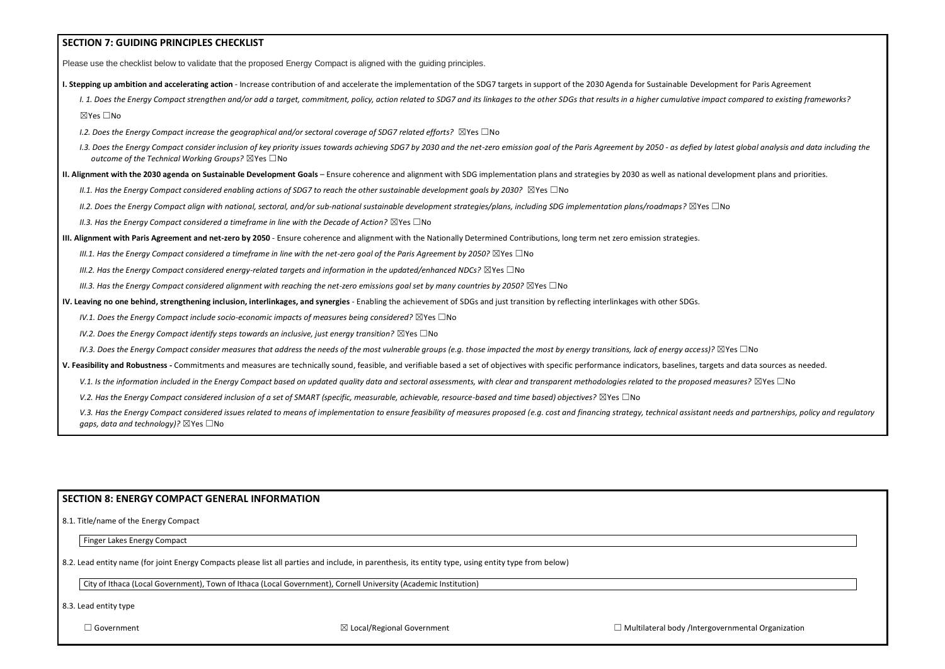| <b>SECTION 7: GUIDING PRINCIPLES CHECKLIST</b>                                                                                                                                                                                                                                                       |  |
|------------------------------------------------------------------------------------------------------------------------------------------------------------------------------------------------------------------------------------------------------------------------------------------------------|--|
| Please use the checklist below to validate that the proposed Energy Compact is aligned with the guiding principles.                                                                                                                                                                                  |  |
| I. Stepping up ambition and accelerating action - Increase contribution of and accelerate the implementation of the SDG7 targets in support of the 2030 Agenda for Sustainable Development for Paris Agreement                                                                                       |  |
| I. 1. Does the Energy Compact strengthen and/or add a target, commitment, policy, action related to SDG7 and its linkages to the other SDGs that results in a higher cumulative impact compared to existing frameworks?                                                                              |  |
| ⊠Yes □No                                                                                                                                                                                                                                                                                             |  |
| I.2. Does the Energy Compact increase the geographical and/or sectoral coverage of SDG7 related efforts? $\boxtimes$ Yes $\Box$ No                                                                                                                                                                   |  |
| I.3. Does the Energy Compact consider inclusion of key priority issues towards achieving SDG7 by 2030 and the net-zero emission goal of the Paris Agreement by 2050 - as defied by latest global analysis and data including t<br>outcome of the Technical Working Groups? $\boxtimes$ Yes $\Box$ No |  |
| II. Alignment with the 2030 agenda on Sustainable Development Goals - Ensure coherence and alignment with SDG implementation plans and strategies by 2030 as well as national development plans and priorities.                                                                                      |  |
| II.1. Has the Energy Compact considered enabling actions of SDG7 to reach the other sustainable development goals by 2030? $\boxtimes$ Yes $\Box$ No                                                                                                                                                 |  |
| II.2. Does the Energy Compact align with national, sectoral, and/or sub-national sustainable development strategies/plans, including SDG implementation plans/roadmaps? $\boxtimes$ Yes $\Box$ No                                                                                                    |  |
| II.3. Has the Energy Compact considered a timeframe in line with the Decade of Action? $\boxtimes$ Yes $\Box$ No                                                                                                                                                                                     |  |
| III. Alignment with Paris Agreement and net-zero by 2050 - Ensure coherence and alignment with the Nationally Determined Contributions, long term net zero emission strategies.                                                                                                                      |  |
| III.1. Has the Energy Compact considered a timeframe in line with the net-zero goal of the Paris Agreement by 2050? $\boxtimes$ Yes $\Box$ No                                                                                                                                                        |  |
| III.2. Has the Energy Compact considered energy-related targets and information in the updated/enhanced NDCs? $\boxtimes$ Yes $\Box$ No                                                                                                                                                              |  |
| III.3. Has the Energy Compact considered alignment with reaching the net-zero emissions goal set by many countries by 2050? $\boxtimes$ Yes $\Box$ No                                                                                                                                                |  |
| IV. Leaving no one behind, strengthening inclusion, interlinkages, and synergies - Enabling the achievement of SDGs and just transition by reflecting interlinkages with other SDGs.                                                                                                                 |  |
| IV.1. Does the Energy Compact include socio-economic impacts of measures being considered? $\boxtimes$ Yes $\Box$ No                                                                                                                                                                                 |  |
| IV.2. Does the Energy Compact identify steps towards an inclusive, just energy transition? $\boxtimes$ Yes $\Box$ No                                                                                                                                                                                 |  |
| IV.3. Does the Energy Compact consider measures that address the needs of the most vulnerable groups (e.g. those impacted the most by energy transitions, lack of energy access)? $\boxtimes$ Yes $\Box$ No                                                                                          |  |
| V. Feasibility and Robustness - Commitments and measures are technically sound, feasible, and verifiable based a set of objectives with specific performance indicators, baselines, targets and data sources as needed.                                                                              |  |
| V.1. Is the information included in the Energy Compact based on updated quality data and sectoral assessments, with clear and transparent methodologies related to the proposed measures? $\boxtimes$ Yes $\Box$ No                                                                                  |  |
| V.2. Has the Energy Compact considered inclusion of a set of SMART (specific, measurable, achievable, resource-based and time based) objectives? $\boxtimes$ Yes $\Box$ No                                                                                                                           |  |
| V.3. Has the Energy Compact considered issues related to means of implementation to ensure feasibility of measures proposed (e.g. cost and financing strategy, technical assistant needs and partnerships, policy and regulato                                                                       |  |

## **SECTION 8: ENERGY COMPACT GENERAL INFORMATION**

8.1. Title/name of the Energy Compact

Finger Lakes Energy Compact

*gaps, data and technology)?* ⊠Yes □No

8.2. Lead entity name (for joint Energy Compacts please list all parties and include, in parenthesis, its entity type, using entity type from below)

City of Ithaca (Local Government), Town of Ithaca (Local Government), Cornell University (Academic Institution)

8.3. Lead entity type

| overnmental Organization |  |
|--------------------------|--|
|                          |  |